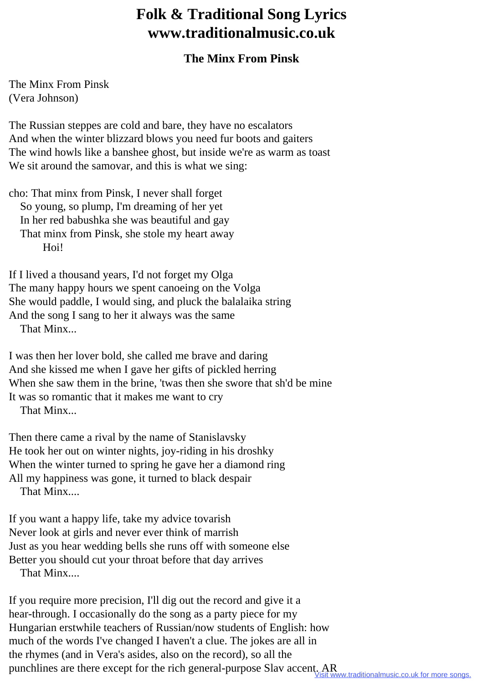## **Folk & Traditional Song Lyrics www.traditionalmusic.co.uk**

## **The Minx From Pinsk**

The Minx From Pinsk (Vera Johnson)

The Russian steppes are cold and bare, they have no escalators And when the winter blizzard blows you need fur boots and gaiters The wind howls like a banshee ghost, but inside we're as warm as toast We sit around the samovar, and this is what we sing:

cho: That minx from Pinsk, I never shall forget So young, so plump, I'm dreaming of her yet In her red babushka she was beautiful and gay That minx from Pinsk, she stole my heart away Hoi!

If I lived a thousand years, I'd not forget my Olga The many happy hours we spent canoeing on the Volga She would paddle, I would sing, and pluck the balalaika string And the song I sang to her it always was the same That Minx...

I was then her lover bold, she called me brave and daring And she kissed me when I gave her gifts of pickled herring When she saw them in the brine, 'twas then she swore that sh'd be mine It was so romantic that it makes me want to cry

That Minx...

Then there came a rival by the name of Stanislavsky He took her out on winter nights, joy-riding in his droshky When the winter turned to spring he gave her a diamond ring All my happiness was gone, it turned to black despair That Minx....

If you want a happy life, take my advice tovarish Never look at girls and never ever think of marrish Just as you hear wedding bells she runs off with someone else Better you should cut your throat before that day arrives That Minx....

If you require more precision, I'll dig out the record and give it a hear-through. I occasionally do the song as a party piece for my Hungarian erstwhile teachers of Russian/now students of English: how much of the words I've changed I haven't a clue. The jokes are all in the rhymes (and in Vera's asides, also on the record), so all the punchlines are there except for the rich general-purpose Slav accent. AR<br>Visit www.traditionalmusic.co.uk for more songs.